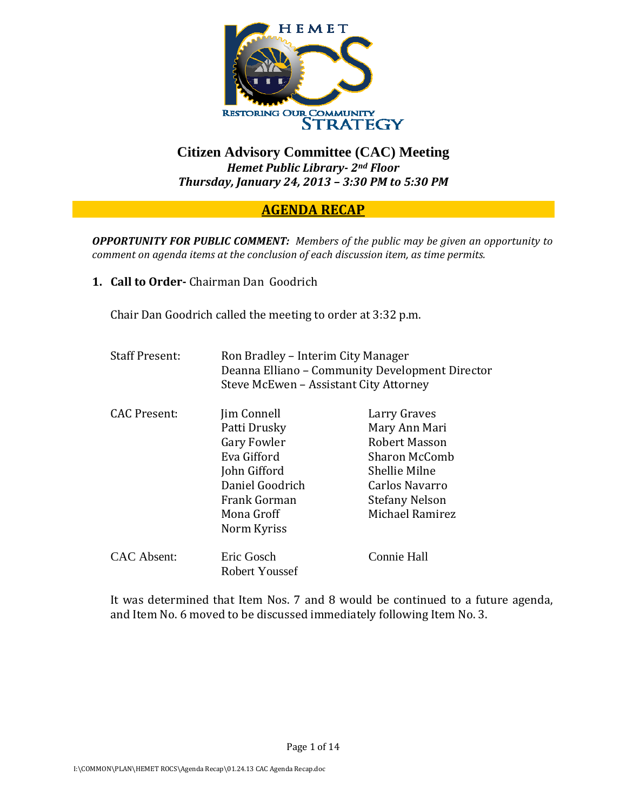

## **Citizen Advisory Committee (CAC) Meeting**  *Hemet Public Library 2nd Floor Thursday, January 24, 2013 – 3:30 PM to 5:30 PM*

## **AGENDA RECAP**

*OPPORTUNITY FOR PUBLIC COMMENT: Members of the public may be given an opportunity to comment on agenda items at the conclusion of each discussion item, as time permits.*

**1. Call to Order** Chairman Dan Goodrich

Chair Dan Goodrich called the meeting to order at 3:32 p.m.

| <b>Staff Present:</b> | Ron Bradley – Interim City Manager<br>Deanna Elliano – Community Development Director<br>Steve McEwen - Assistant City Attorney                  |                                                                                                                                                       |
|-----------------------|--------------------------------------------------------------------------------------------------------------------------------------------------|-------------------------------------------------------------------------------------------------------------------------------------------------------|
| CAC Present:          | Jim Connell<br>Patti Drusky<br><b>Gary Fowler</b><br>Eva Gifford<br>John Gifford<br>Daniel Goodrich<br>Frank Gorman<br>Mona Groff<br>Norm Kyriss | Larry Graves<br>Mary Ann Mari<br><b>Robert Masson</b><br>Sharon McComb<br>Shellie Milne<br>Carlos Navarro<br><b>Stefany Nelson</b><br>Michael Ramirez |
| CAC Absent:           | Eric Gosch<br>Robert Youssef                                                                                                                     | Connie Hall                                                                                                                                           |

It was determined that Item Nos. 7 and 8 would be continued to a future agenda, and Item No. 6 moved to be discussed immediately following Item No. 3.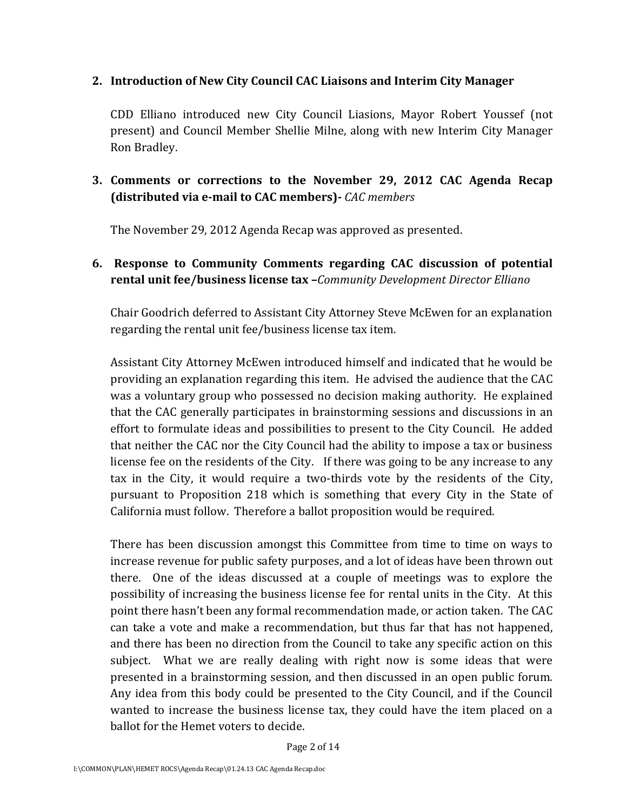#### **2. Introduction of New City Council CAC Liaisons and Interim City Manager**

CDD Elliano introduced new City Council Liasions, Mayor Robert Youssef (not present) and Council Member Shellie Milne, along with new Interim City Manager Ron Bradley.

## **3. Comments or corrections to the November 29, 2012 CAC Agenda Recap (distributed via email to CAC members)** *CAC members*

The November 29, 2012 Agenda Recap was approved as presented.

## **6. Response to Community Comments regarding CAC discussion of potential rental unit fee/business license tax –***Community Development Director Elliano*

Chair Goodrich deferred to Assistant City Attorney Steve McEwen for an explanation regarding the rental unit fee/business license tax item.

Assistant City Attorney McEwen introduced himself and indicated that he would be providing an explanation regarding this item. He advised the audience that the CAC was a voluntary group who possessed no decision making authority. He explained that the CAC generally participates in brainstorming sessions and discussions in an effort to formulate ideas and possibilities to present to the City Council. He added that neither the CAC nor the City Council had the ability to impose a tax or business license fee on the residents of the City. If there was going to be any increase to any tax in the City, it would require a two-thirds vote by the residents of the City, pursuant to Proposition 218 which is something that every City in the State of California must follow. Therefore a ballot proposition would be required.

There has been discussion amongst this Committee from time to time on ways to increase revenue for public safety purposes, and a lot of ideas have been thrown out there. One of the ideas discussed at a couple of meetings was to explore the possibility of increasing the business license fee for rental units in the City. At this point there hasn't been any formal recommendation made, or action taken. The CAC can take a vote and make a recommendation, but thus far that has not happened, and there has been no direction from the Council to take any specific action on this subject. What we are really dealing with right now is some ideas that were presented in a brainstorming session, and then discussed in an open public forum. Any idea from this body could be presented to the City Council, and if the Council wanted to increase the business license tax, they could have the item placed on a ballot for the Hemet voters to decide.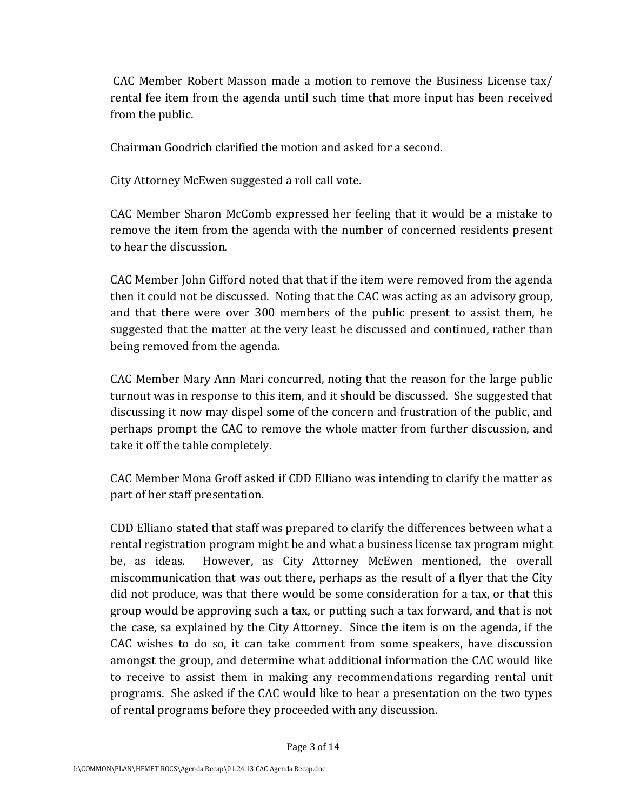CAC Member Robert Masson made a motion to remove the Business License tax/ rental fee item from the agenda until such time that more input has been received from the public.

Chairman Goodrich clarified the motion and asked for a second.

City Attorney McEwen suggested a roll call vote.

CAC Member Sharon McComb expressed her feeling that it would be a mistake to remove the item from the agenda with the number of concerned residents present to hear the discussion.

CAC Member John Gifford noted that that if the item were removed from the agenda then it could not be discussed. Noting that the CAC was acting as an advisory group, and that there were over 300 members of the public present to assist them, he suggested that the matter at the very least be discussed and continued, rather than being removed from the agenda.

CAC Member Mary Ann Mari concurred, noting that the reason for the large public turnout was in response to this item, and it should be discussed. She suggested that discussing it now may dispel some of the concern and frustration of the public, and perhaps prompt the CAC to remove the whole matter from further discussion, and take it off the table completely.

CAC Member Mona Groff asked if CDD Elliano was intending to clarify the matter as part of her staff presentation.

CDD Elliano stated that staff was prepared to clarify the differences between what a rental registration program might be and what a business license tax program might be, as ideas. However, as City Attorney McEwen mentioned, the overall miscommunication that was out there, perhaps as the result of a flyer that the City did not produce, was that there would be some consideration for a tax, or that this group would be approving such a tax, or putting such a tax forward, and that is not the case, sa explained by the City Attorney. Since the item is on the agenda, if the CAC wishes to do so, it can take comment from some speakers, have discussion amongst the group, and determine what additional information the CAC would like to receive to assist them in making any recommendations regarding rental unit programs. She asked if the CAC would like to hear a presentation on the two types of rental programs before they proceeded with any discussion.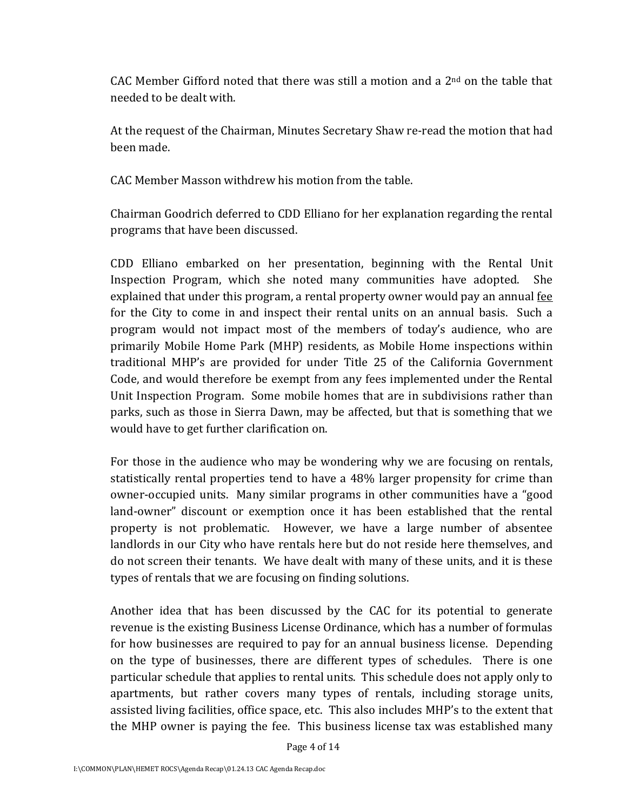CAC Member Gifford noted that there was still a motion and a  $2<sup>nd</sup>$  on the table that needed to be dealt with.

At the request of the Chairman, Minutes Secretary Shaw re‐read the motion that had been made.

CAC Member Masson withdrew his motion from the table.

Chairman Goodrich deferred to CDD Elliano for her explanation regarding the rental programs that have been discussed.

CDD Elliano embarked on her presentation, beginning with the Rental Unit Inspection Program, which she noted many communities have adopted. She explained that under this program, a rental property owner would pay an annual fee for the City to come in and inspect their rental units on an annual basis. Such a program would not impact most of the members of today's audience, who are primarily Mobile Home Park (MHP) residents, as Mobile Home inspections within traditional MHP's are provided for under Title 25 of the California Government Code, and would therefore be exempt from any fees implemented under the Rental Unit Inspection Program. Some mobile homes that are in subdivisions rather than parks, such as those in Sierra Dawn, may be affected, but that is something that we would have to get further clarification on.

For those in the audience who may be wondering why we are focusing on rentals, statistically rental properties tend to have a 48% larger propensity for crime than owner‐occupied units. Many similar programs in other communities have a "good land-owner" discount or exemption once it has been established that the rental property is not problematic. However, we have a large number of absentee landlords in our City who have rentals here but do not reside here themselves, and do not screen their tenants. We have dealt with many of these units, and it is these types of rentals that we are focusing on finding solutions.

Another idea that has been discussed by the CAC for its potential to generate revenue is the existing Business License Ordinance, which has a number of formulas for how businesses are required to pay for an annual business license. Depending on the type of businesses, there are different types of schedules. There is one particular schedule that applies to rental units. This schedule does not apply only to apartments, but rather covers many types of rentals, including storage units, assisted living facilities, office space, etc. This also includes MHP's to the extent that the MHP owner is paying the fee. This business license tax was established many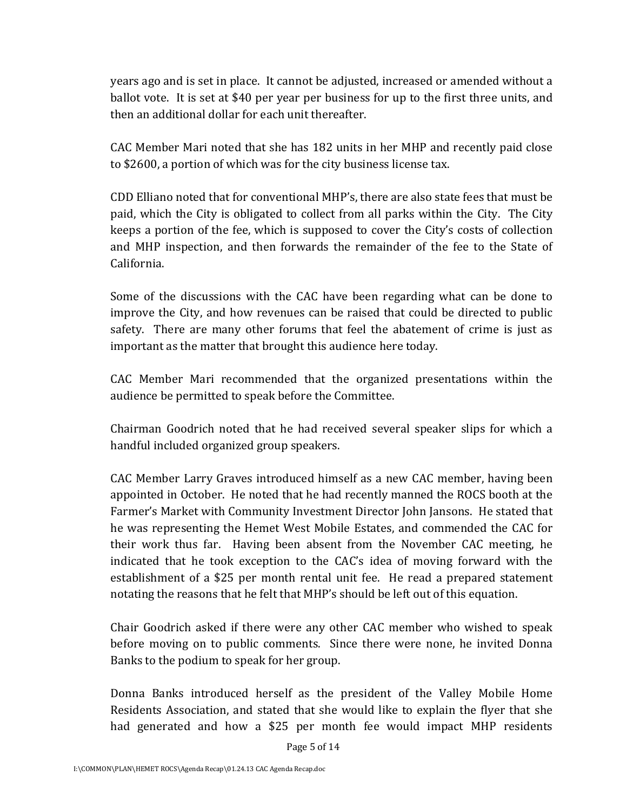years ago and is set in place. It cannot be adjusted, increased or amended without a ballot vote. It is set at \$40 per year per business for up to the first three units, and then an additional dollar for each unit thereafter.

CAC Member Mari noted that she has 182 units in her MHP and recently paid close to \$2600, a portion of which was for the city business license tax.

CDD Elliano noted that for conventional MHP's, there are also state fees that must be paid, which the City is obligated to collect from all parks within the City. The City keeps a portion of the fee, which is supposed to cover the City's costs of collection and MHP inspection, and then forwards the remainder of the fee to the State of California.

Some of the discussions with the CAC have been regarding what can be done to improve the City, and how revenues can be raised that could be directed to public safety. There are many other forums that feel the abatement of crime is just as important as the matter that brought this audience here today.

CAC Member Mari recommended that the organized presentations within the audience be permitted to speak before the Committee.

Chairman Goodrich noted that he had received several speaker slips for which a handful included organized group speakers.

CAC Member Larry Graves introduced himself as a new CAC member, having been appointed in October. He noted that he had recently manned the ROCS booth at the Farmer's Market with Community Investment Director John Jansons. He stated that he was representing the Hemet West Mobile Estates, and commended the CAC for their work thus far. Having been absent from the November CAC meeting, he indicated that he took exception to the CAC's idea of moving forward with the establishment of a \$25 per month rental unit fee. He read a prepared statement notating the reasons that he felt that MHP's should be left out of this equation.

Chair Goodrich asked if there were any other CAC member who wished to speak before moving on to public comments. Since there were none, he invited Donna Banks to the podium to speak for her group.

Donna Banks introduced herself as the president of the Valley Mobile Home Residents Association, and stated that she would like to explain the flyer that she had generated and how a \$25 per month fee would impact MHP residents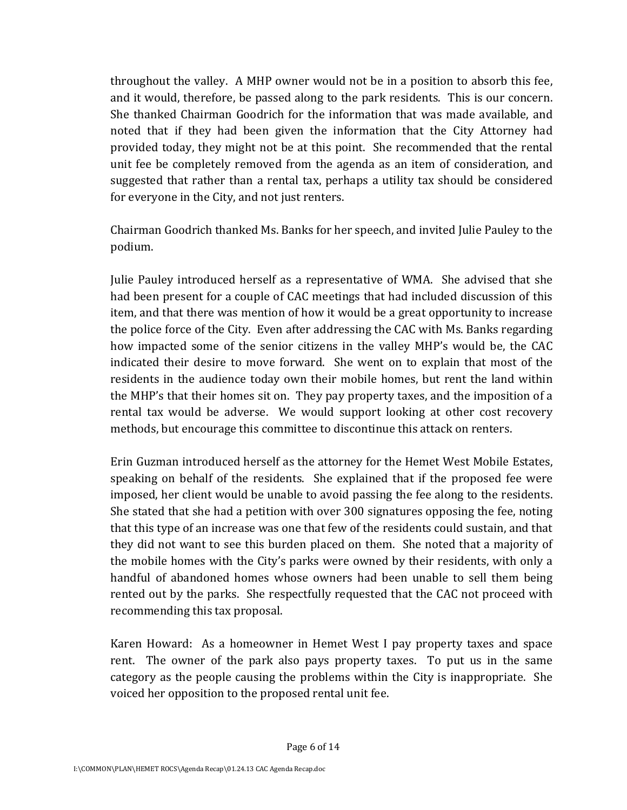throughout the valley. A MHP owner would not be in a position to absorb this fee, and it would, therefore, be passed along to the park residents. This is our concern. She thanked Chairman Goodrich for the information that was made available, and noted that if they had been given the information that the City Attorney had provided today, they might not be at this point. She recommended that the rental unit fee be completely removed from the agenda as an item of consideration, and suggested that rather than a rental tax, perhaps a utility tax should be considered for everyone in the City, and not just renters.

Chairman Goodrich thanked Ms. Banks for her speech, and invited Julie Pauley to the podium.

Julie Pauley introduced herself as a representative of WMA. She advised that she had been present for a couple of CAC meetings that had included discussion of this item, and that there was mention of how it would be a great opportunity to increase the police force of the City. Even after addressing the CAC with Ms. Banks regarding how impacted some of the senior citizens in the valley MHP's would be, the CAC indicated their desire to move forward. She went on to explain that most of the residents in the audience today own their mobile homes, but rent the land within the MHP's that their homes sit on. They pay property taxes, and the imposition of a rental tax would be adverse. We would support looking at other cost recovery methods, but encourage this committee to discontinue this attack on renters.

Erin Guzman introduced herself as the attorney for the Hemet West Mobile Estates, speaking on behalf of the residents. She explained that if the proposed fee were imposed, her client would be unable to avoid passing the fee along to the residents. She stated that she had a petition with over 300 signatures opposing the fee, noting that this type of an increase was one that few of the residents could sustain, and that they did not want to see this burden placed on them. She noted that a majority of the mobile homes with the City's parks were owned by their residents, with only a handful of abandoned homes whose owners had been unable to sell them being rented out by the parks. She respectfully requested that the CAC not proceed with recommending this tax proposal.

Karen Howard: As a homeowner in Hemet West I pay property taxes and space rent. The owner of the park also pays property taxes. To put us in the same category as the people causing the problems within the City is inappropriate. She voiced her opposition to the proposed rental unit fee.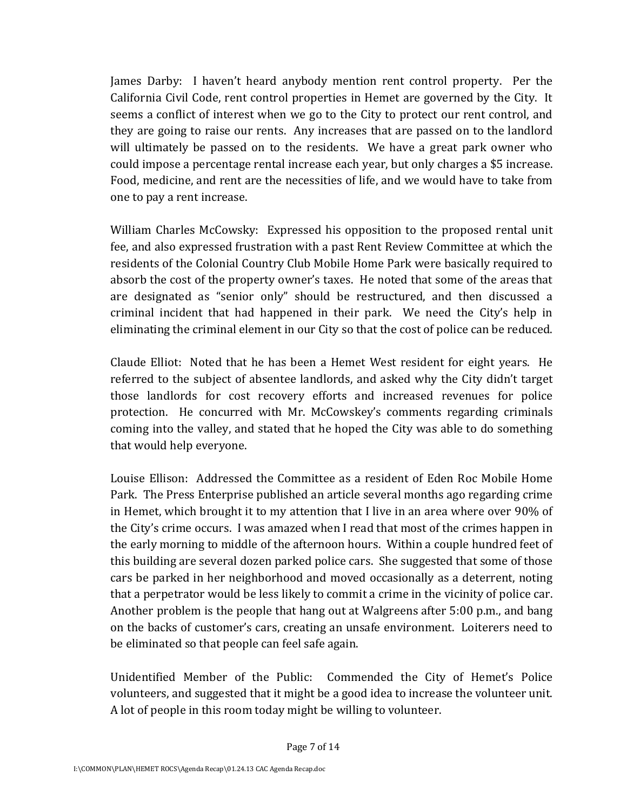James Darby: I haven't heard anybody mention rent control property. Per the California Civil Code, rent control properties in Hemet are governed by the City. It seems a conflict of interest when we go to the City to protect our rent control, and they are going to raise our rents. Any increases that are passed on to the landlord will ultimately be passed on to the residents. We have a great park owner who could impose a percentage rental increase each year, but only charges a \$5 increase. Food, medicine, and rent are the necessities of life, and we would have to take from one to pay a rent increase.

William Charles McCowsky: Expressed his opposition to the proposed rental unit fee, and also expressed frustration with a past Rent Review Committee at which the residents of the Colonial Country Club Mobile Home Park were basically required to absorb the cost of the property owner's taxes. He noted that some of the areas that are designated as "senior only" should be restructured, and then discussed a criminal incident that had happened in their park. We need the City's help in eliminating the criminal element in our City so that the cost of police can be reduced.

Claude Elliot: Noted that he has been a Hemet West resident for eight years. He referred to the subject of absentee landlords, and asked why the City didn't target those landlords for cost recovery efforts and increased revenues for police protection. He concurred with Mr. McCowskey's comments regarding criminals coming into the valley, and stated that he hoped the City was able to do something that would help everyone.

Louise Ellison: Addressed the Committee as a resident of Eden Roc Mobile Home Park. The Press Enterprise published an article several months ago regarding crime in Hemet, which brought it to my attention that I live in an area where over 90% of the City's crime occurs. I was amazed when I read that most of the crimes happen in the early morning to middle of the afternoon hours. Within a couple hundred feet of this building are several dozen parked police cars. She suggested that some of those cars be parked in her neighborhood and moved occasionally as a deterrent, noting that a perpetrator would be less likely to commit a crime in the vicinity of police car. Another problem is the people that hang out at Walgreens after 5:00 p.m., and bang on the backs of customer's cars, creating an unsafe environment. Loiterers need to be eliminated so that people can feel safe again.

Unidentified Member of the Public: Commended the City of Hemet's Police volunteers, and suggested that it might be a good idea to increase the volunteer unit. A lot of people in this room today might be willing to volunteer.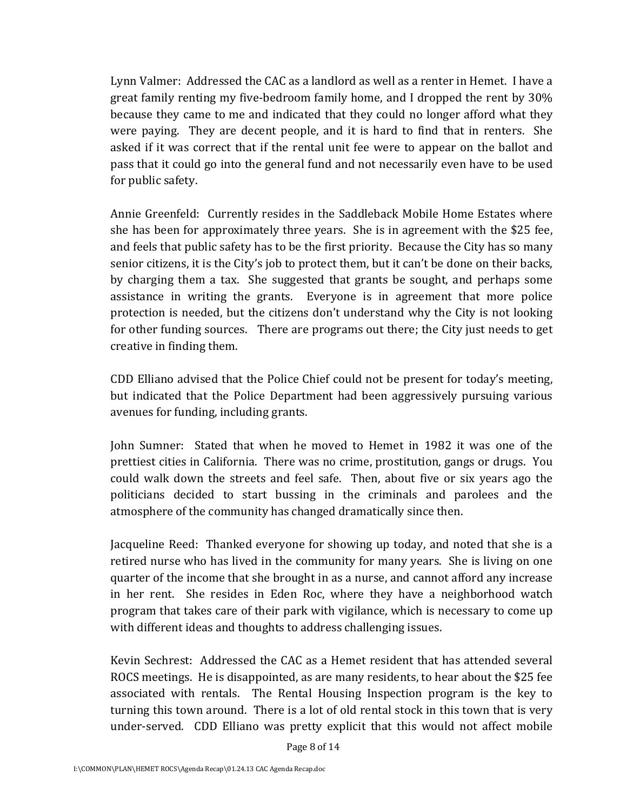Lynn Valmer: Addressed the CAC as a landlord as well as a renter in Hemet. I have a great family renting my five‐bedroom family home, and I dropped the rent by 30% because they came to me and indicated that they could no longer afford what they were paying. They are decent people, and it is hard to find that in renters. She asked if it was correct that if the rental unit fee were to appear on the ballot and pass that it could go into the general fund and not necessarily even have to be used for public safety.

Annie Greenfeld: Currently resides in the Saddleback Mobile Home Estates where she has been for approximately three years. She is in agreement with the \$25 fee, and feels that public safety has to be the first priority. Because the City has so many senior citizens, it is the City's job to protect them, but it can't be done on their backs, by charging them a tax. She suggested that grants be sought, and perhaps some assistance in writing the grants. Everyone is in agreement that more police protection is needed, but the citizens don't understand why the City is not looking for other funding sources. There are programs out there; the City just needs to get creative in finding them.

CDD Elliano advised that the Police Chief could not be present for today's meeting, but indicated that the Police Department had been aggressively pursuing various avenues for funding, including grants.

John Sumner: Stated that when he moved to Hemet in 1982 it was one of the prettiest cities in California. There was no crime, prostitution, gangs or drugs. You could walk down the streets and feel safe. Then, about five or six years ago the politicians decided to start bussing in the criminals and parolees and the atmosphere of the community has changed dramatically since then.

Jacqueline Reed: Thanked everyone for showing up today, and noted that she is a retired nurse who has lived in the community for many years. She is living on one quarter of the income that she brought in as a nurse, and cannot afford any increase in her rent. She resides in Eden Roc, where they have a neighborhood watch program that takes care of their park with vigilance, which is necessary to come up with different ideas and thoughts to address challenging issues.

Kevin Sechrest: Addressed the CAC as a Hemet resident that has attended several ROCS meetings. He is disappointed, as are many residents, to hear about the \$25 fee associated with rentals. The Rental Housing Inspection program is the key to turning this town around. There is a lot of old rental stock in this town that is very under-served. CDD Elliano was pretty explicit that this would not affect mobile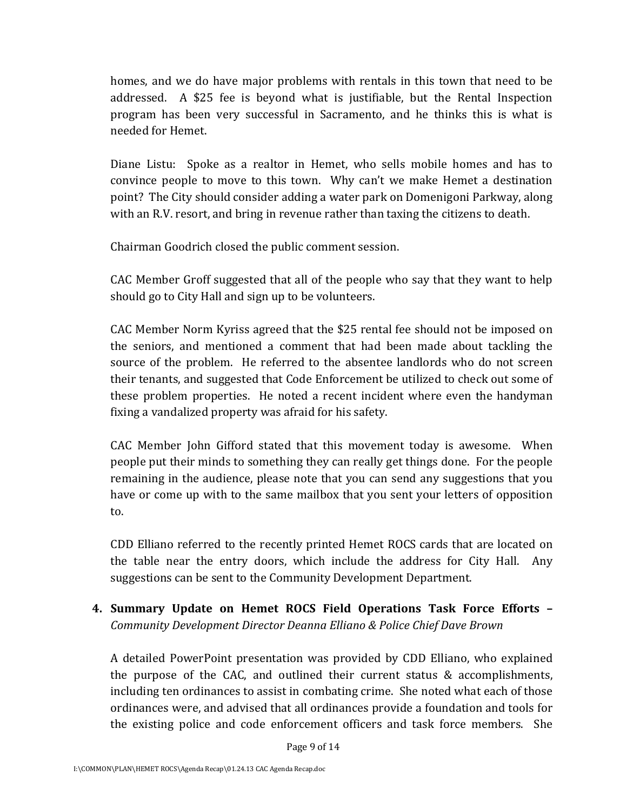homes, and we do have major problems with rentals in this town that need to be addressed. A \$25 fee is beyond what is justifiable, but the Rental Inspection program has been very successful in Sacramento, and he thinks this is what is needed for Hemet.

Diane Listu: Spoke as a realtor in Hemet, who sells mobile homes and has to convince people to move to this town. Why can't we make Hemet a destination point? The City should consider adding a water park on Domenigoni Parkway, along with an R.V. resort, and bring in revenue rather than taxing the citizens to death.

Chairman Goodrich closed the public comment session.

CAC Member Groff suggested that all of the people who say that they want to help should go to City Hall and sign up to be volunteers.

CAC Member Norm Kyriss agreed that the \$25 rental fee should not be imposed on the seniors, and mentioned a comment that had been made about tackling the source of the problem. He referred to the absentee landlords who do not screen their tenants, and suggested that Code Enforcement be utilized to check out some of these problem properties. He noted a recent incident where even the handyman fixing a vandalized property was afraid for his safety.

CAC Member John Gifford stated that this movement today is awesome. When people put their minds to something they can really get things done. For the people remaining in the audience, please note that you can send any suggestions that you have or come up with to the same mailbox that you sent your letters of opposition to.

CDD Elliano referred to the recently printed Hemet ROCS cards that are located on the table near the entry doors, which include the address for City Hall. Any suggestions can be sent to the Community Development Department.

**4. Summary Update on Hemet ROCS Field Operations Task Force Efforts –** *Community Development Director Deanna Elliano & Police Chief Dave Brown*

A detailed PowerPoint presentation was provided by CDD Elliano, who explained the purpose of the CAC, and outlined their current status & accomplishments, including ten ordinances to assist in combating crime. She noted what each of those ordinances were, and advised that all ordinances provide a foundation and tools for the existing police and code enforcement officers and task force members. She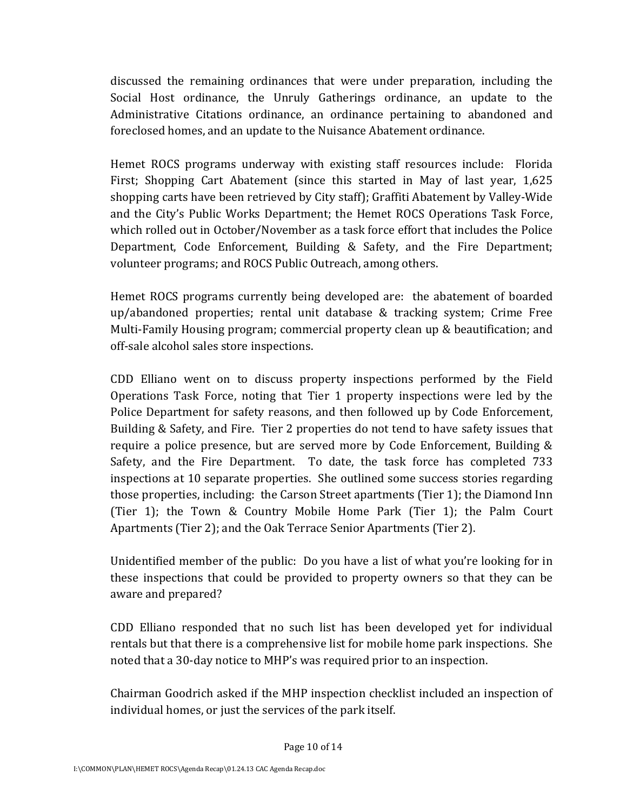discussed the remaining ordinances that were under preparation, including the Social Host ordinance, the Unruly Gatherings ordinance, an update to the Administrative Citations ordinance, an ordinance pertaining to abandoned and foreclosed homes, and an update to the Nuisance Abatement ordinance.

Hemet ROCS programs underway with existing staff resources include: Florida First; Shopping Cart Abatement (since this started in May of last year, 1,625 shopping carts have been retrieved by City staff); Graffiti Abatement by Valley‐Wide and the City's Public Works Department; the Hemet ROCS Operations Task Force, which rolled out in October/November as a task force effort that includes the Police Department, Code Enforcement, Building & Safety, and the Fire Department; volunteer programs; and ROCS Public Outreach, among others.

Hemet ROCS programs currently being developed are: the abatement of boarded up/abandoned properties; rental unit database & tracking system; Crime Free Multi‐Family Housing program; commercial property clean up & beautification; and off‐sale alcohol sales store inspections.

CDD Elliano went on to discuss property inspections performed by the Field Operations Task Force, noting that Tier 1 property inspections were led by the Police Department for safety reasons, and then followed up by Code Enforcement, Building & Safety, and Fire. Tier 2 properties do not tend to have safety issues that require a police presence, but are served more by Code Enforcement, Building & Safety, and the Fire Department. To date, the task force has completed 733 inspections at 10 separate properties. She outlined some success stories regarding those properties, including: the Carson Street apartments (Tier 1); the Diamond Inn (Tier 1); the Town & Country Mobile Home Park (Tier 1); the Palm Court Apartments (Tier 2); and the Oak Terrace Senior Apartments (Tier 2).

Unidentified member of the public: Do you have a list of what you're looking for in these inspections that could be provided to property owners so that they can be aware and prepared?

CDD Elliano responded that no such list has been developed yet for individual rentals but that there is a comprehensive list for mobile home park inspections. She noted that a 30‐day notice to MHP's was required prior to an inspection.

Chairman Goodrich asked if the MHP inspection checklist included an inspection of individual homes, or just the services of the park itself.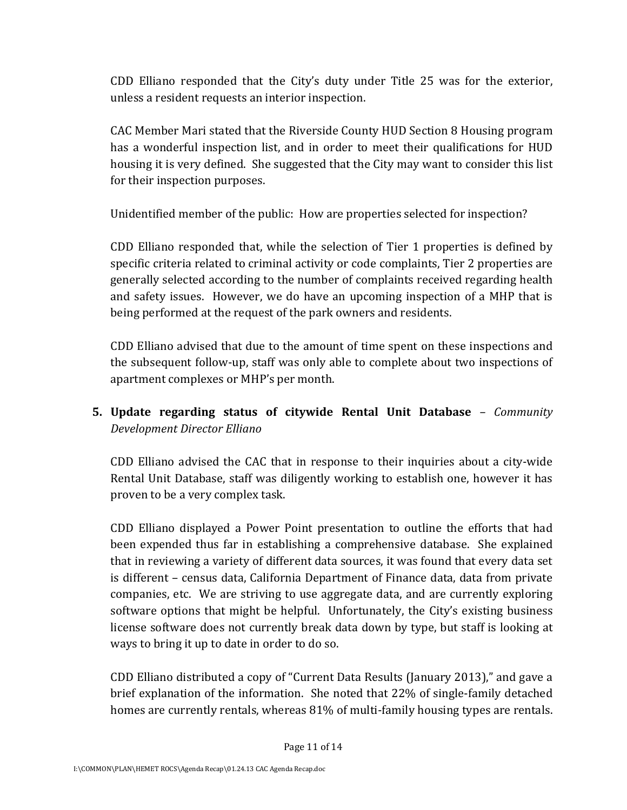CDD Elliano responded that the City's duty under Title 25 was for the exterior, unless a resident requests an interior inspection.

CAC Member Mari stated that the Riverside County HUD Section 8 Housing program has a wonderful inspection list, and in order to meet their qualifications for HUD housing it is very defined. She suggested that the City may want to consider this list for their inspection purposes.

Unidentified member of the public: How are properties selected for inspection?

CDD Elliano responded that, while the selection of Tier 1 properties is defined by specific criteria related to criminal activity or code complaints, Tier 2 properties are generally selected according to the number of complaints received regarding health and safety issues. However, we do have an upcoming inspection of a MHP that is being performed at the request of the park owners and residents.

CDD Elliano advised that due to the amount of time spent on these inspections and the subsequent follow‐up, staff was only able to complete about two inspections of apartment complexes or MHP's per month.

# **5. Update regarding status of citywide Rental Unit Database** *– Community Development Director Elliano*

CDD Elliano advised the CAC that in response to their inquiries about a city‐wide Rental Unit Database, staff was diligently working to establish one, however it has proven to be a very complex task.

CDD Elliano displayed a Power Point presentation to outline the efforts that had been expended thus far in establishing a comprehensive database. She explained that in reviewing a variety of different data sources, it was found that every data set is different – census data, California Department of Finance data, data from private companies, etc. We are striving to use aggregate data, and are currently exploring software options that might be helpful. Unfortunately, the City's existing business license software does not currently break data down by type, but staff is looking at ways to bring it up to date in order to do so.

CDD Elliano distributed a copy of "Current Data Results (January 2013)," and gave a brief explanation of the information. She noted that 22% of single‐family detached homes are currently rentals, whereas 81% of multi‐family housing types are rentals.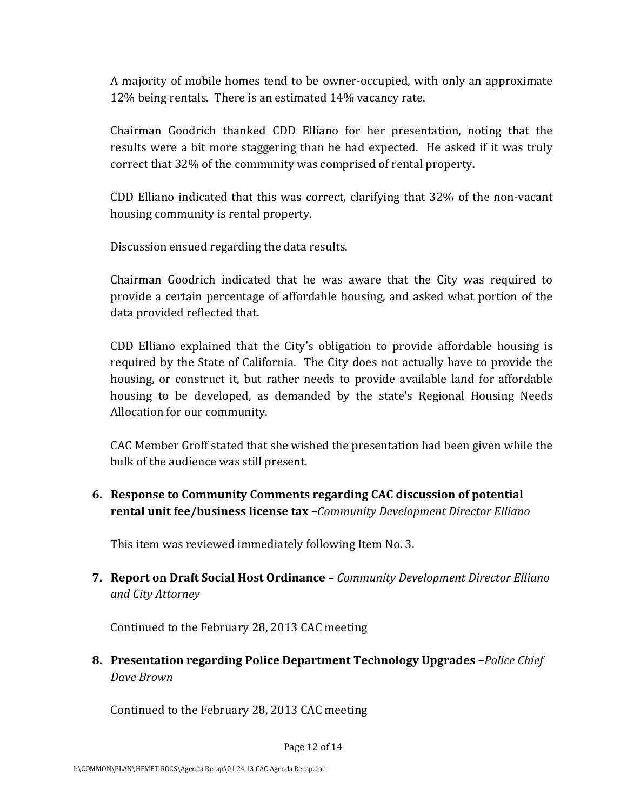A majority of mobile homes tend to be owner‐occupied, with only an approximate 12% being rentals. There is an estimated 14% vacancy rate.

Chairman Goodrich thanked CDD Elliano for her presentation, noting that the results were a bit more staggering than he had expected. He asked if it was truly correct that 32% of the community was comprised of rental property.

CDD Elliano indicated that this was correct, clarifying that 32% of the non‐vacant housing community is rental property.

Discussion ensued regarding the data results.

Chairman Goodrich indicated that he was aware that the City was required to provide a certain percentage of affordable housing, and asked what portion of the data provided reflected that.

CDD Elliano explained that the City's obligation to provide affordable housing is required by the State of California. The City does not actually have to provide the housing, or construct it, but rather needs to provide available land for affordable housing to be developed, as demanded by the state's Regional Housing Needs Allocation for our community.

CAC Member Groff stated that she wished the presentation had been given while the bulk of the audience was still present.

**6. Response to Community Comments regarding CAC discussion of potential rental unit fee/business license tax –***Community Development Director Elliano*

This item was reviewed immediately following Item No. 3.

**7. Report on Draft Social Host Ordinance –** *Community Development Director Elliano and City Attorney*

Continued to the February 28, 2013 CAC meeting

**8. Presentation regarding Police Department Technology Upgrades –***Police Chief Dave Brown*

Continued to the February 28, 2013 CAC meeting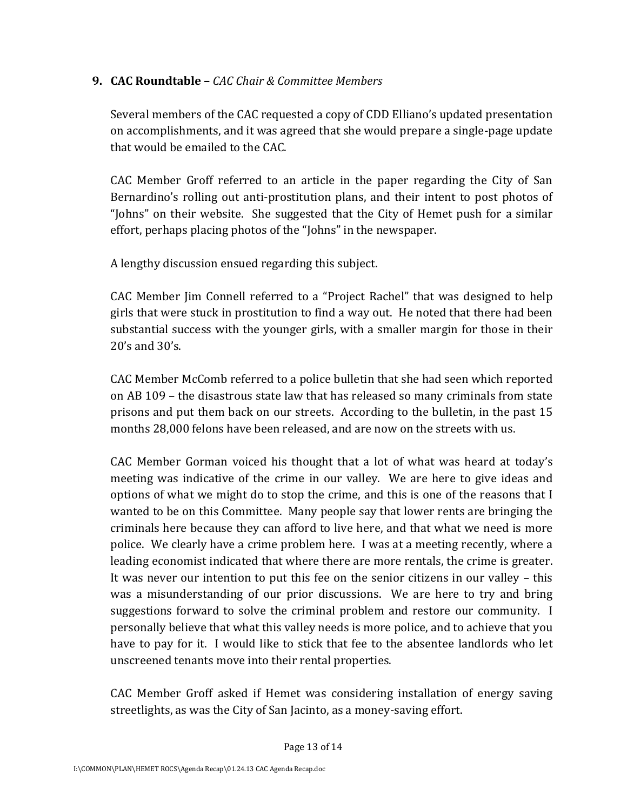#### **9. CAC Roundtable –** *CAC Chair & Committee Members*

Several members of the CAC requested a copy of CDD Elliano's updated presentation on accomplishments, and it was agreed that she would prepare a single‐page update that would be emailed to the CAC.

CAC Member Groff referred to an article in the paper regarding the City of San Bernardino's rolling out anti-prostitution plans, and their intent to post photos of "Johns" on their website. She suggested that the City of Hemet push for a similar effort, perhaps placing photos of the "Johns" in the newspaper.

A lengthy discussion ensued regarding this subject.

CAC Member Jim Connell referred to a "Project Rachel" that was designed to help girls that were stuck in prostitution to find a way out. He noted that there had been substantial success with the younger girls, with a smaller margin for those in their 20's and 30's.

CAC Member McComb referred to a police bulletin that she had seen which reported on AB 109 – the disastrous state law that has released so many criminals from state prisons and put them back on our streets. According to the bulletin, in the past 15 months 28,000 felons have been released, and are now on the streets with us.

CAC Member Gorman voiced his thought that a lot of what was heard at today's meeting was indicative of the crime in our valley. We are here to give ideas and options of what we might do to stop the crime, and this is one of the reasons that I wanted to be on this Committee. Many people say that lower rents are bringing the criminals here because they can afford to live here, and that what we need is more police. We clearly have a crime problem here. I was at a meeting recently, where a leading economist indicated that where there are more rentals, the crime is greater. It was never our intention to put this fee on the senior citizens in our valley – this was a misunderstanding of our prior discussions. We are here to try and bring suggestions forward to solve the criminal problem and restore our community. I personally believe that what this valley needs is more police, and to achieve that you have to pay for it. I would like to stick that fee to the absentee landlords who let unscreened tenants move into their rental properties.

CAC Member Groff asked if Hemet was considering installation of energy saving streetlights, as was the City of San Jacinto, as a money‐saving effort.